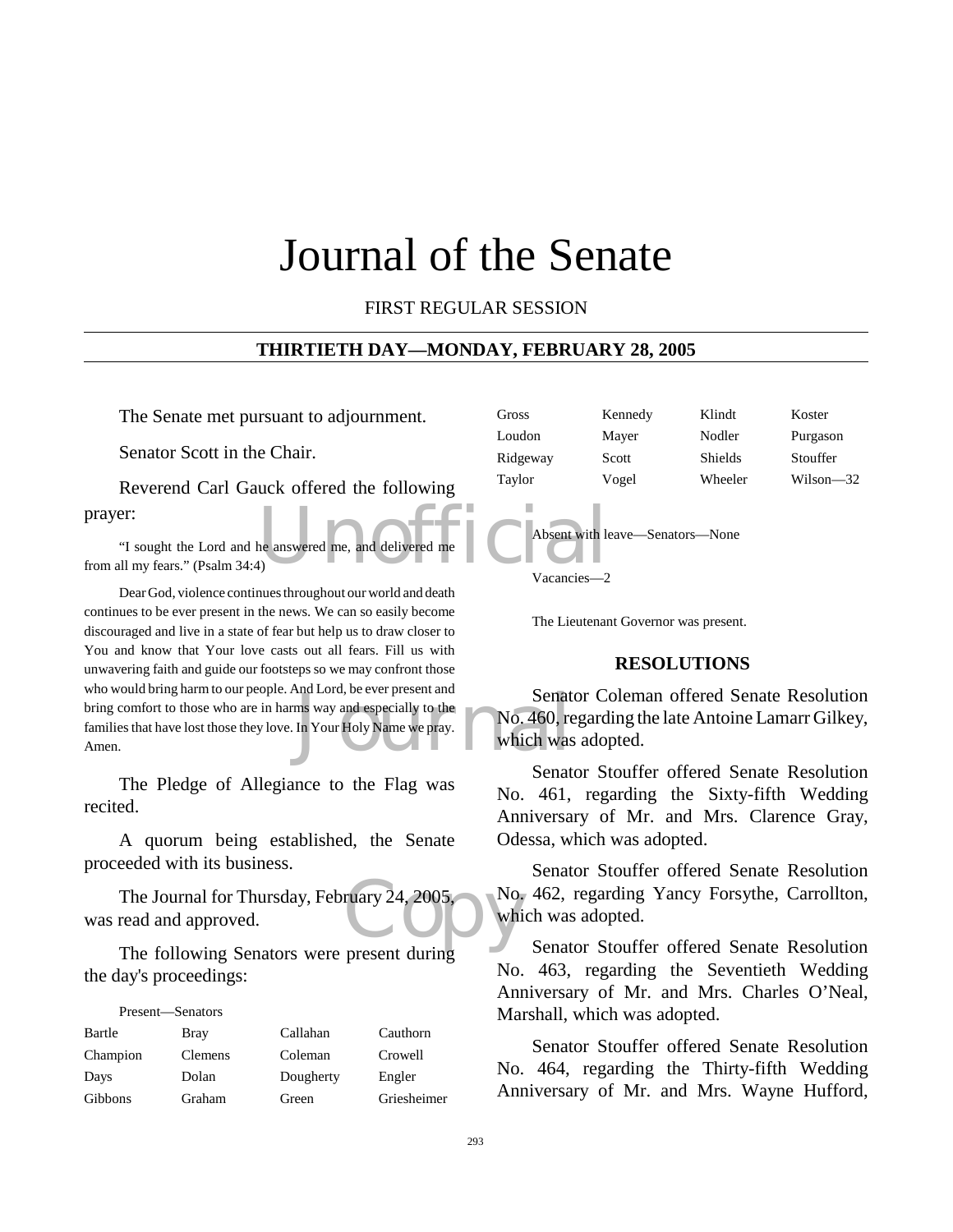# Journal of the Senate

#### FIRST REGULAR SESSION

#### **THIRTIETH DAY—MONDAY, FEBRUARY 28, 2005**

The Senate met pursuant to adjournment.

Senator Scott in the Chair.

Reverend Carl Gauck offered the following prayer:

The answered me, and delivered me "I sought the Lord and he answered me, and delivered me from all my fears." (Psalm 34:4)

Senat<br>
ms way and especially to the<br>
In Your Holy Name we pray.<br>
Which was Dear God, violence continues throughout our world and death continues to be ever present in the news. We can so easily become discouraged and live in a state of fear but help us to draw closer to You and know that Your love casts out all fears. Fill us with unwavering faith and guide our footsteps so we may confront those who would bring harm to our people. And Lord, be ever present and bring comfort to those who are in harms way and especially to the families that have lost those they love. In Your Holy Name we pray. Amen.

The Pledge of Allegiance to the Flag was recited.

A quorum being established, the Senate proceeded with its business.

ruary 24, 2005, No. The Journal for Thursday, February 24, 2005, was read and approved.

The following Senators were present during the day's proceedings:

| Present—Senators |         |           |             |
|------------------|---------|-----------|-------------|
| Bartle           | Bray    | Callahan  | Cauthorn    |
| Champion         | Clemens | Coleman   | Crowell     |
| Days             | Dolan   | Dougherty | Engler      |
| Gibbons          | Graham  | Green     | Griesheimer |

| Gross    | Kennedy | Klindt         | Koster    |
|----------|---------|----------------|-----------|
| Loudon   | Mayer   | Nodler         | Purgason  |
| Ridgeway | Scott   | <b>Shields</b> | Stouffer  |
| Taylor   | Vogel   | Wheeler        | Wilson—32 |
|          |         |                |           |



Vacancies—2

The Lieutenant Governor was present.

#### **RESOLUTIONS**

Senator Coleman offered Senate Resolution No. 460, regarding the late Antoine Lamarr Gilkey, which was adopted.

Senator Stouffer offered Senate Resolution No. 461, regarding the Sixty-fifth Wedding Anniversary of Mr. and Mrs. Clarence Gray, Odessa, which was adopted.

Senator Stouffer offered Senate Resolution No. 462, regarding Yancy Forsythe, Carrollton, which was adopted.

Senator Stouffer offered Senate Resolution No. 463, regarding the Seventieth Wedding Anniversary of Mr. and Mrs. Charles O'Neal, Marshall, which was adopted.

Senator Stouffer offered Senate Resolution No. 464, regarding the Thirty-fifth Wedding Anniversary of Mr. and Mrs. Wayne Hufford,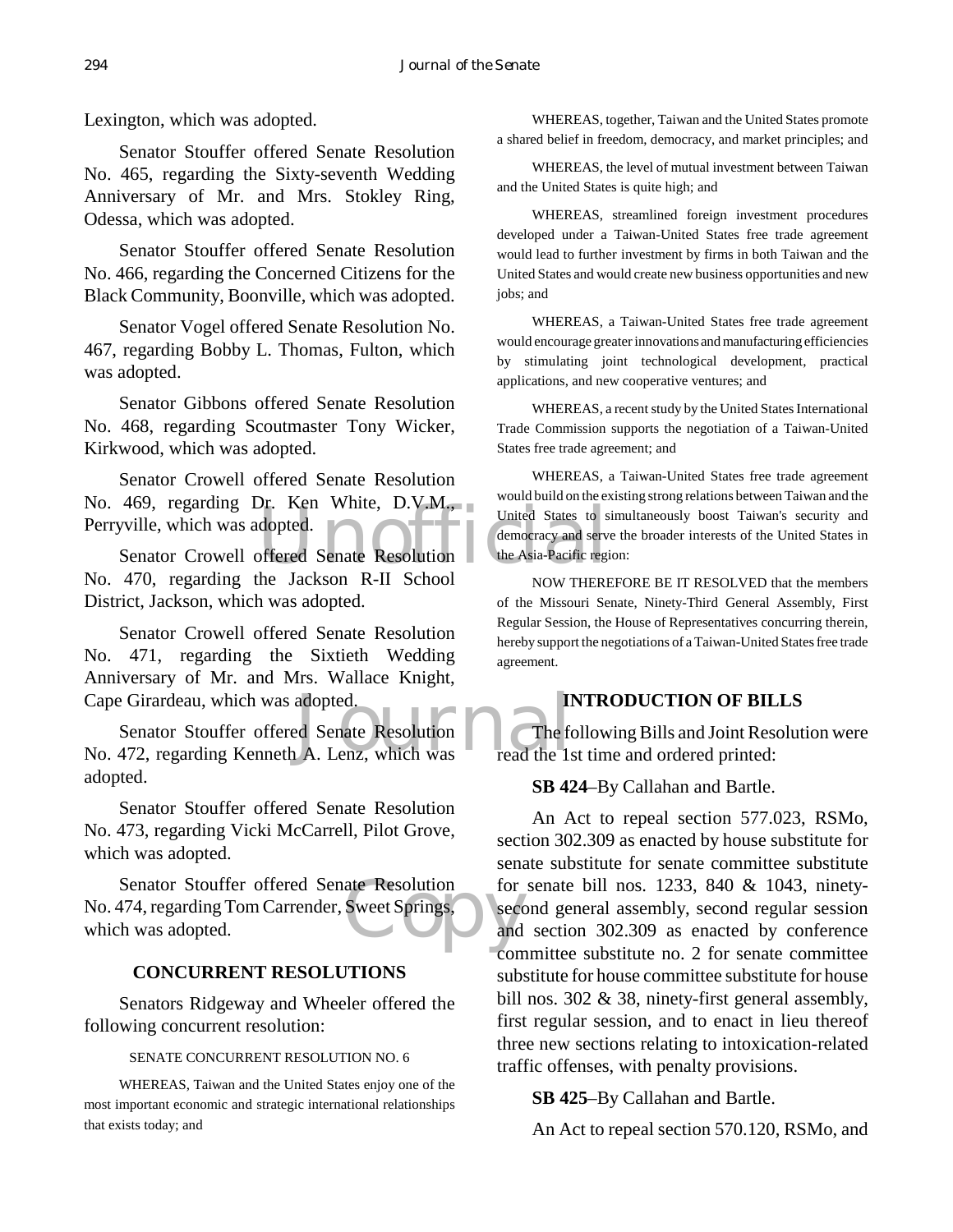Lexington, which was adopted.

Senator Stouffer offered Senate Resolution No. 465, regarding the Sixty-seventh Wedding Anniversary of Mr. and Mrs. Stokley Ring, Odessa, which was adopted.

Senator Stouffer offered Senate Resolution No. 466, regarding the Concerned Citizens for the Black Community, Boonville, which was adopted.

Senator Vogel offered Senate Resolution No. 467, regarding Bobby L. Thomas, Fulton, which was adopted.

Senator Gibbons offered Senate Resolution No. 468, regarding Scoutmaster Tony Wicker, Kirkwood, which was adopted.

No. 469, regarding Dr. Ken White, D.V.M., would build on the experiment of the New United States to strate States to strate States to strate States to strate States to strate States where  $\frac{1}{2}$  Senator Crowell offered Senator Crowell offered Senate Resolution Perryville, which was adopted.

Senator Crowell offered Senate Resolution No. 470, regarding the Jackson R-II School District, Jackson, which was adopted.

Senator Crowell offered Senate Resolution No. 471, regarding the Sixtieth Wedding Anniversary of Mr. and Mrs. Wallace Knight, Cape Girardeau, which was adopted.

Cape Girardeau, which was adopted.<br>
Senator Stouffer offered Senate Resolution<br>
No. 472, regarding Kenneth A. Lenz, which was<br>
read the Is Senator Stouffer offered Senate Resolution adopted.

Senator Stouffer offered Senate Resolution No. 473, regarding Vicki McCarrell, Pilot Grove, which was adopted.

ate Resolution for<br>Sweet Springs, sector<br>and Senator Stouffer offered Senate Resolution No. 474, regarding Tom Carrender, Sweet Springs, which was adopted.

#### **CONCURRENT RESOLUTIONS**

Senators Ridgeway and Wheeler offered the following concurrent resolution:

#### SENATE CONCURRENT RESOLUTION NO. 6

WHEREAS, Taiwan and the United States enjoy one of the most important economic and strategic international relationships that exists today; and

WHEREAS, together, Taiwan and the United States promote a shared belief in freedom, democracy, and market principles; and

WHEREAS, the level of mutual investment between Taiwan and the United States is quite high; and

WHEREAS, streamlined foreign investment procedures developed under a Taiwan-United States free trade agreement would lead to further investment by firms in both Taiwan and the United States and would create new business opportunities and new jobs; and

WHEREAS, a Taiwan-United States free trade agreement would encourage greater innovations and manufacturing efficiencies by stimulating joint technological development, practical applications, and new cooperative ventures; and

WHEREAS, a recent study by the United States International Trade Commission supports the negotiation of a Taiwan-United States free trade agreement; and

WHEREAS, a Taiwan-United States free trade agreement would build on the existing strong relations between Taiwan and the United States to simultaneously boost Taiwan's security and democracy and serve the broader interests of the United States in the Asia-Pacific region:

NOW THEREFORE BE IT RESOLVED that the members of the Missouri Senate, Ninety-Third General Assembly, First Regular Session, the House of Representatives concurring therein, hereby support the negotiations of a Taiwan-United States free trade agreement.

## **INTRODUCTION OF BILLS**

The following Bills and Joint Resolution were read the 1st time and ordered printed:

**SB 424**–By Callahan and Bartle.

An Act to repeal section 577.023, RSMo, section 302.309 as enacted by house substitute for senate substitute for senate committee substitute for senate bill nos. 1233, 840 & 1043, ninetysecond general assembly, second regular session and section 302.309 as enacted by conference committee substitute no. 2 for senate committee substitute for house committee substitute for house bill nos. 302 & 38, ninety-first general assembly, first regular session, and to enact in lieu thereof three new sections relating to intoxication-related traffic offenses, with penalty provisions.

**SB 425**–By Callahan and Bartle.

An Act to repeal section 570.120, RSMo, and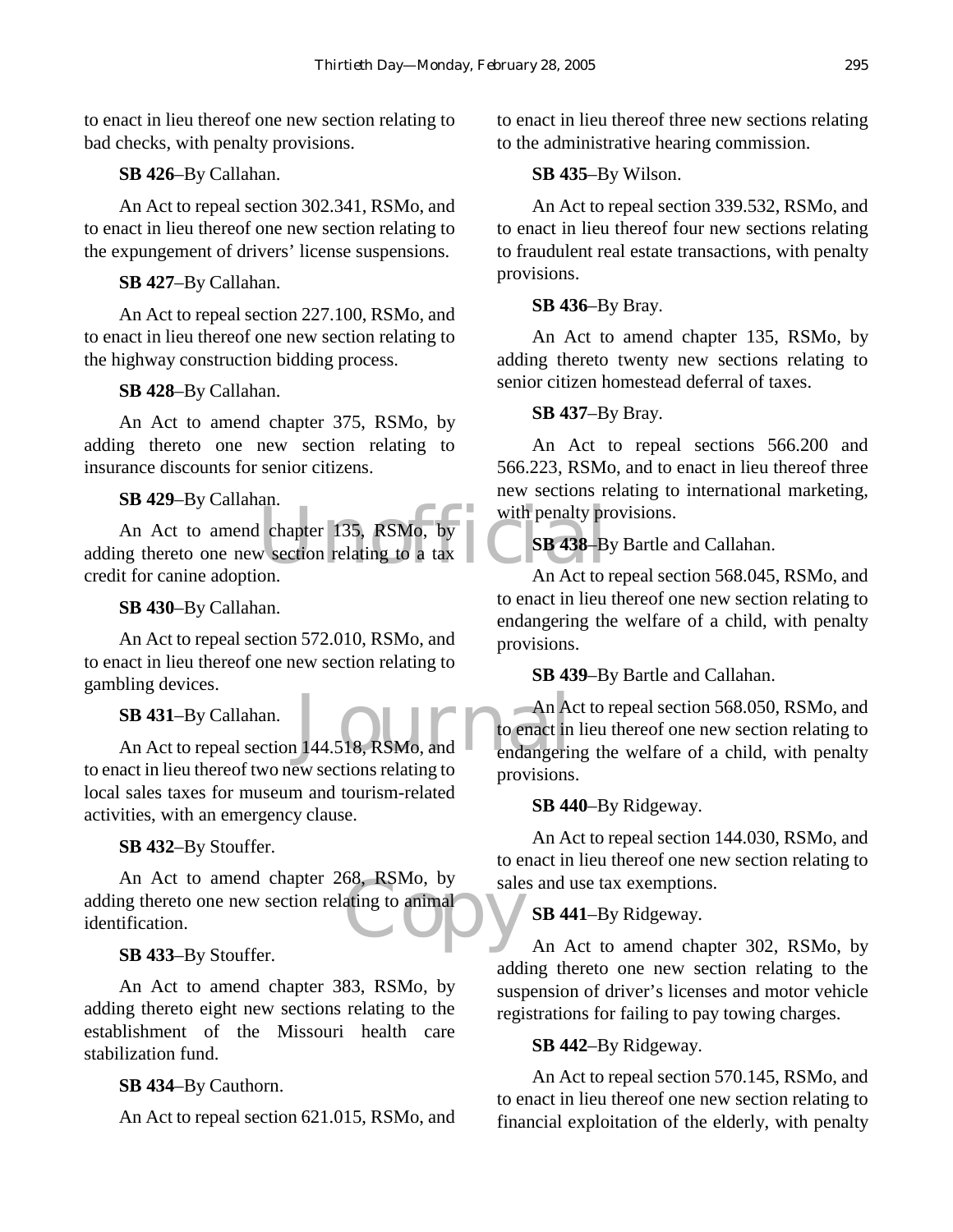to enact in lieu thereof one new section relating to bad checks, with penalty provisions.

**SB 426**–By Callahan.

An Act to repeal section 302.341, RSMo, and to enact in lieu thereof one new section relating to the expungement of drivers' license suspensions.

**SB 427**–By Callahan.

An Act to repeal section 227.100, RSMo, and to enact in lieu thereof one new section relating to the highway construction bidding process.

**SB 428**–By Callahan.

An Act to amend chapter 375, RSMo, by adding thereto one new section relating to insurance discounts for senior citizens.

**SB 429**–By Callahan.

under 135, RSMo, by<br>
w section relating to a tax<br>
on a hand of to a hand of to a hand of to a hand of to a hand of to a hand of to a hand of to a hand of to a hand of to a hand of to a hand of to a hand of to a hand of to An Act to amend chapter 135, RSMo, by adding thereto one new section relating to a tax credit for canine adoption.

**SB 430**–By Callahan.

An Act to repeal section 572.010, RSMo, and to enact in lieu thereof one new section relating to gambling devices.

**SB 431**–By Callahan.

SB 431-By Callahan.<br>
An Act to repeal section 144.518, RSMo, and to enact in to enact in lieu thereof two new sections relating to local sales taxes for museum and tourism-related activities, with an emergency clause.

**SB 432**–By Stouffer.

b8, KSM0, by<br>ating to animal An Act to amend chapter 268, RSMo, by adding thereto one new section relating to animal identification.

**SB 433**–By Stouffer.

An Act to amend chapter 383, RSMo, by adding thereto eight new sections relating to the establishment of the Missouri health care stabilization fund.

**SB 434**–By Cauthorn.

An Act to repeal section 621.015, RSMo, and

to enact in lieu thereof three new sections relating to the administrative hearing commission.

# **SB 435**–By Wilson.

An Act to repeal section 339.532, RSMo, and to enact in lieu thereof four new sections relating to fraudulent real estate transactions, with penalty provisions.

# **SB 436**–By Bray.

An Act to amend chapter 135, RSMo, by adding thereto twenty new sections relating to senior citizen homestead deferral of taxes.

# **SB 437**–By Bray.

An Act to repeal sections 566.200 and 566.223, RSMo, and to enact in lieu thereof three new sections relating to international marketing, with penalty provisions.

**SB 438**–By Bartle and Callahan.

An Act to repeal section 568.045, RSMo, and to enact in lieu thereof one new section relating to endangering the welfare of a child, with penalty provisions.

**SB 439**–By Bartle and Callahan.

An Act to repeal section 568.050, RSMo, and to enact in lieu thereof one new section relating to endangering the welfare of a child, with penalty provisions.

**SB 440**–By Ridgeway.

An Act to repeal section 144.030, RSMo, and to enact in lieu thereof one new section relating to sales and use tax exemptions.

**SB 441**–By Ridgeway.

An Act to amend chapter 302, RSMo, by adding thereto one new section relating to the suspension of driver's licenses and motor vehicle registrations for failing to pay towing charges.

# **SB 442**–By Ridgeway.

An Act to repeal section 570.145, RSMo, and to enact in lieu thereof one new section relating to financial exploitation of the elderly, with penalty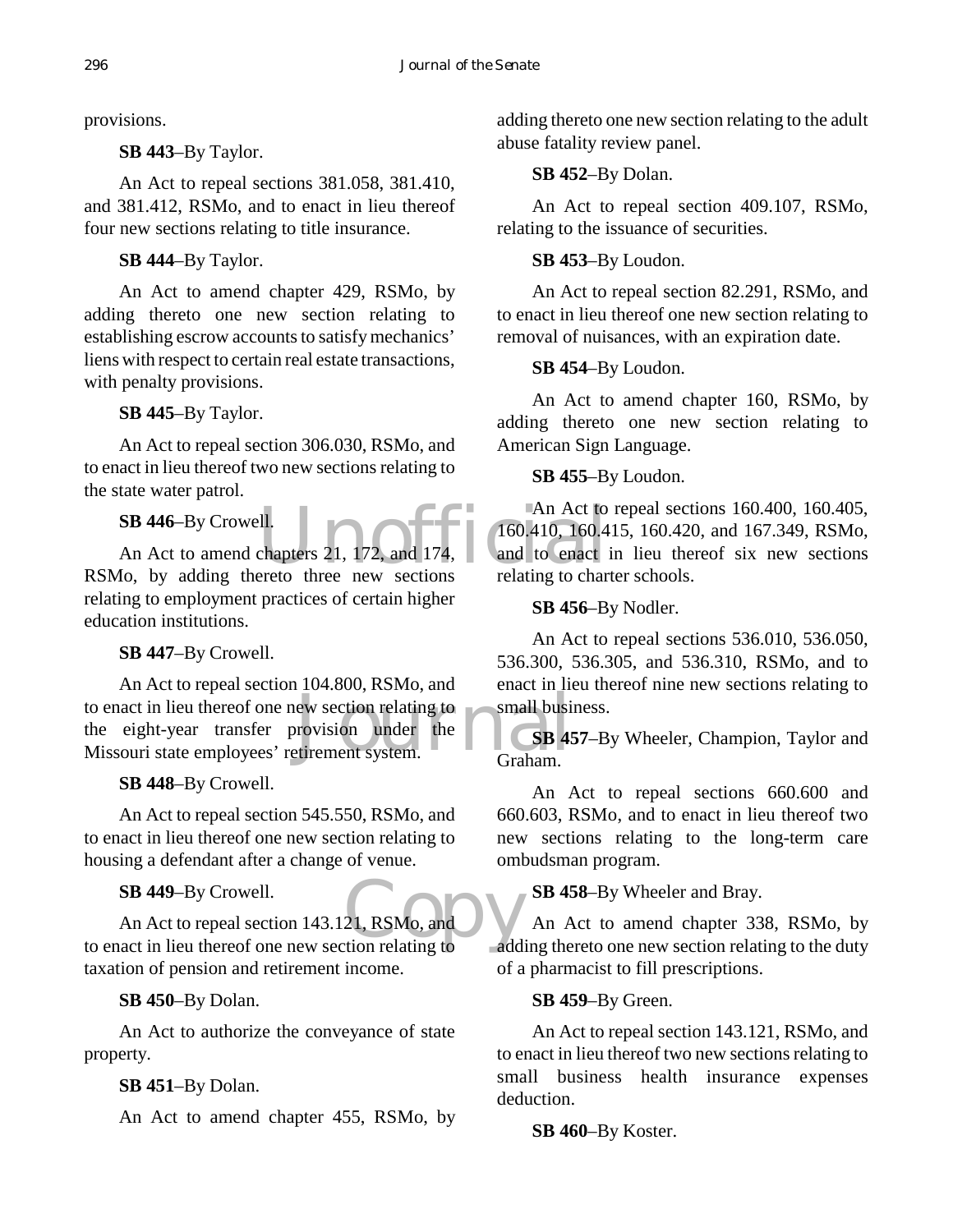provisions.

## **SB 443**–By Taylor.

An Act to repeal sections 381.058, 381.410, and 381.412, RSMo, and to enact in lieu thereof four new sections relating to title insurance.

**SB 444**–By Taylor.

An Act to amend chapter 429, RSMo, by adding thereto one new section relating to establishing escrow accounts to satisfy mechanics' liens with respect to certain real estate transactions, with penalty provisions.

# **SB 445**–By Taylor.

An Act to repeal section 306.030, RSMo, and to enact in lieu thereof two new sections relating to the state water patrol.

# **SB 446**–By Crowell.

An Act to amend chapters 21, 172, and 174, RSMo, by adding thereto three new sections relating to employment practices of certain higher education institutions.

# **SB 447**–By Crowell.

to enact in lieu thereof one new section relating to<br>
the eight-year transfer provision under the<br>
Missouri state employees' retirement system.<br>
Graham. An Act to repeal section 104.800, RSMo, and the eight-year transfer provision under the Missouri state employees' retirement system.

# **SB 448**–By Crowell.

An Act to repeal section 545.550, RSMo, and to enact in lieu thereof one new section relating to housing a defendant after a change of venue.

# **SB 449**–By Crowell.

21, RSMo, and V<br>tion relating to add An Act to repeal section 143.121, RSMo, and to enact in lieu thereof one new section relating to taxation of pension and retirement income.

# **SB 450**–By Dolan.

An Act to authorize the conveyance of state property.

# **SB 451**–By Dolan.

An Act to amend chapter 455, RSMo, by

adding thereto one new section relating to the adult abuse fatality review panel.

# **SB 452**–By Dolan.

An Act to repeal section 409.107, RSMo, relating to the issuance of securities.

# **SB 453**–By Loudon.

An Act to repeal section 82.291, RSMo, and to enact in lieu thereof one new section relating to removal of nuisances, with an expiration date.

# **SB 454**–By Loudon.

An Act to amend chapter 160, RSMo, by adding thereto one new section relating to American Sign Language.

# **SB 455**–By Loudon.

 $\begin{array}{|c|c|c|}\n\hline\n\text{All.}\n\end{array}$  and 174, The metal of the section of the sections of the section of the section of the section of the section of the section of the section of the section of the section of the section of An Act to repeal sections 160.400, 160.405, 160.410, 160.415, 160.420, and 167.349, RSMo, and to enact in lieu thereof six new sections relating to charter schools.

## **SB 456**–By Nodler.

An Act to repeal sections 536.010, 536.050, 536.300, 536.305, and 536.310, RSMo, and to enact in lieu thereof nine new sections relating to small business.

**SB 457**–By Wheeler, Champion, Taylor and Graham.

An Act to repeal sections 660.600 and 660.603, RSMo, and to enact in lieu thereof two new sections relating to the long-term care ombudsman program.

**SB 458**–By Wheeler and Bray.

An Act to amend chapter 338, RSMo, by adding thereto one new section relating to the duty of a pharmacist to fill prescriptions.

# **SB 459**–By Green.

An Act to repeal section 143.121, RSMo, and to enact in lieu thereof two new sections relating to small business health insurance expenses deduction.

**SB 460**–By Koster.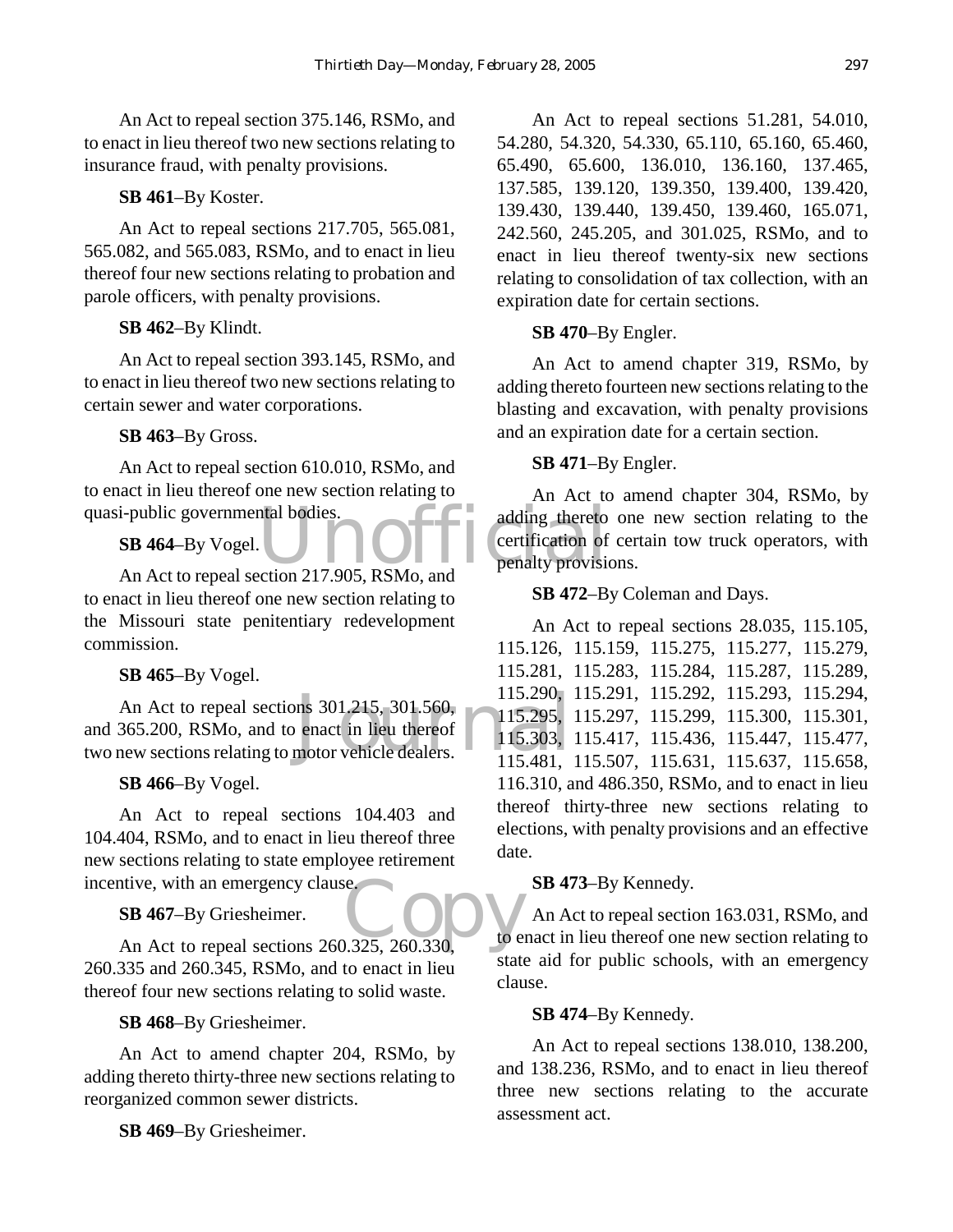An Act to repeal section 375.146, RSMo, and to enact in lieu thereof two new sections relating to insurance fraud, with penalty provisions.

#### **SB 461**–By Koster.

An Act to repeal sections 217.705, 565.081, 565.082, and 565.083, RSMo, and to enact in lieu thereof four new sections relating to probation and parole officers, with penalty provisions.

**SB 462**–By Klindt.

An Act to repeal section 393.145, RSMo, and to enact in lieu thereof two new sections relating to certain sewer and water corporations.

## **SB 463**–By Gross.

An Act to repeal section 610.010, RSMo, and to enact in lieu thereof one new section relating to quasi-public governmental bodies.

**SB 464**–By Vogel.

to enact in lieu thereof one new section relating to the Missouri state penitentiary redevelopment commission.

**SB 465**–By Vogel.

An Act to repeal sections 301.215, 301.560,<br>and 365.200, RSMo, and to enact in lieu thereof 115.295,<br>two new sections relating to motor vehicle dealers. 115.481. An Act to repeal sections 301.215, 301.560, and 365.200, RSMo, and to enact in lieu thereof

**SB 466**–By Vogel.

An Act to repeal sections 104.403 and 104.404, RSMo, and to enact in lieu thereof three new sections relating to state employee retirement incentive, with an emergency clause.

**SB 467**–By Griesheimer.

SB 467-By Griesheimer.<br>
An Act to repeal sections 260.325, 260.330, 260.335 and 260.345, RSMo, and to enact in lieu thereof four new sections relating to solid waste.

**SB 468**–By Griesheimer.

An Act to amend chapter 204, RSMo, by adding thereto thirty-three new sections relating to reorganized common sewer districts.

**SB 469**–By Griesheimer.

An Act to repeal sections 51.281, 54.010, 54.280, 54.320, 54.330, 65.110, 65.160, 65.460, 65.490, 65.600, 136.010, 136.160, 137.465, 137.585, 139.120, 139.350, 139.400, 139.420, 139.430, 139.440, 139.450, 139.460, 165.071, 242.560, 245.205, and 301.025, RSMo, and to enact in lieu thereof twenty-six new sections relating to consolidation of tax collection, with an expiration date for certain sections.

#### **SB 470**–By Engler.

An Act to amend chapter 319, RSMo, by adding thereto fourteen new sections relating to the blasting and excavation, with penalty provisions and an expiration date for a certain section.

#### **SB 471**–By Engler.

i-public governmental bodies.<br>
SB 464-By Vogel.<br>
An Act to repeal section 217.905, RSMo, and<br>
The penalty provision of An Act to amend chapter 304, RSMo, by adding thereto one new section relating to the certification of certain tow truck operators, with penalty provisions.

**SB 472**–By Coleman and Days.

An Act to repeal sections 28.035, 115.105, 115.126, 115.159, 115.275, 115.277, 115.279, 115.281, 115.283, 115.284, 115.287, 115.289, 115.290, 115.291, 115.292, 115.293, 115.294, 115.295, 115.297, 115.299, 115.300, 115.301, 115.303, 115.417, 115.436, 115.447, 115.477, 115.481, 115.507, 115.631, 115.637, 115.658, 116.310, and 486.350, RSMo, and to enact in lieu thereof thirty-three new sections relating to elections, with penalty provisions and an effective date.

## **SB 473**–By Kennedy.

An Act to repeal section 163.031, RSMo, and to enact in lieu thereof one new section relating to state aid for public schools, with an emergency clause.

## **SB 474**–By Kennedy.

An Act to repeal sections 138.010, 138.200, and 138.236, RSMo, and to enact in lieu thereof three new sections relating to the accurate assessment act.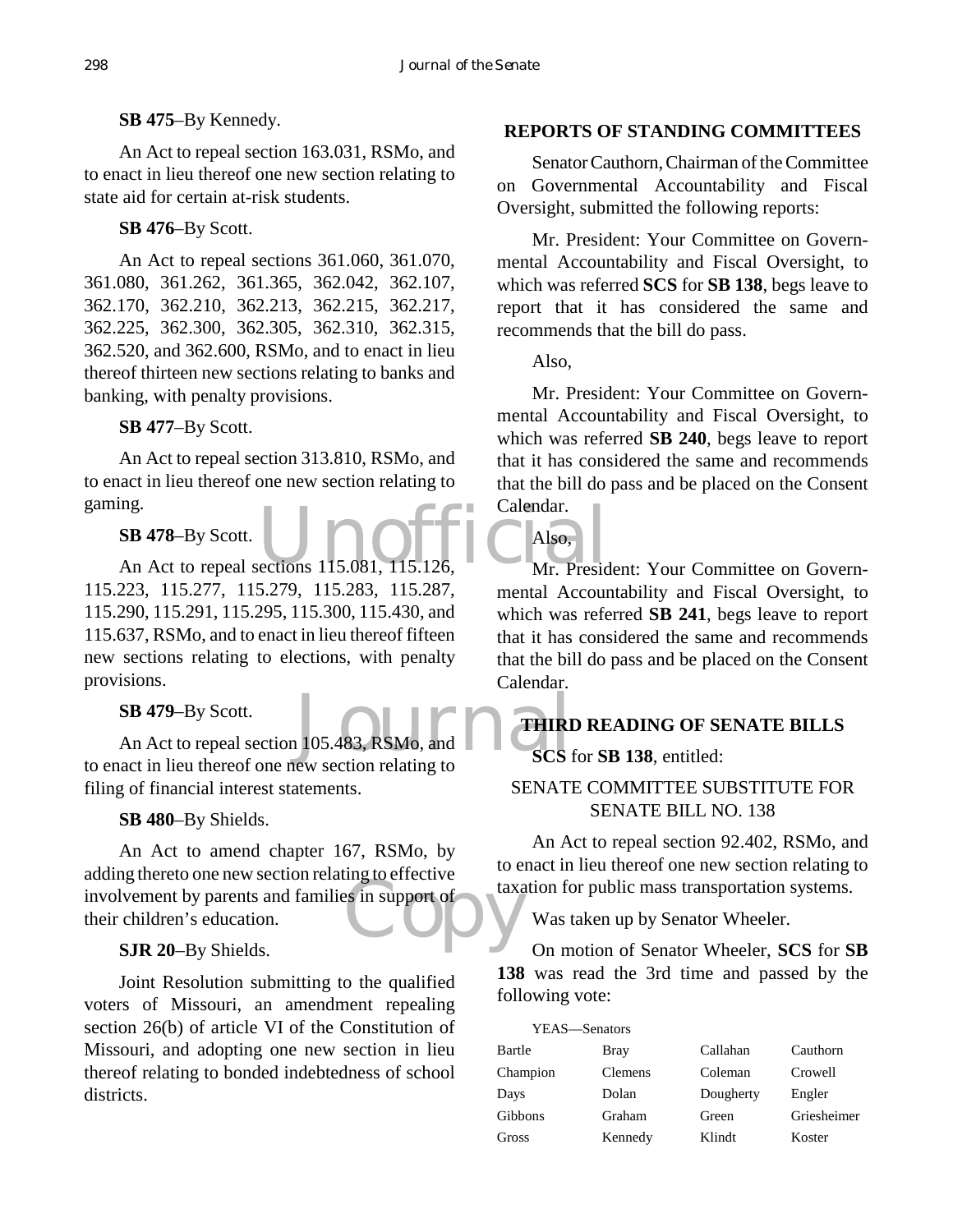**SB 475**–By Kennedy.

An Act to repeal section 163.031, RSMo, and to enact in lieu thereof one new section relating to state aid for certain at-risk students.

**SB 476**–By Scott.

An Act to repeal sections 361.060, 361.070, 361.080, 361.262, 361.365, 362.042, 362.107, 362.170, 362.210, 362.213, 362.215, 362.217, 362.225, 362.300, 362.305, 362.310, 362.315, 362.520, and 362.600, RSMo, and to enact in lieu thereof thirteen new sections relating to banks and banking, with penalty provisions.

#### **SB 477**–By Scott.

An Act to repeal section 313.810, RSMo, and to enact in lieu thereof one new section relating to gaming.

## **SB 478**–By Scott.

mg.<br>
SB 478-By Scott.<br>
An Act to repeal sections 115.081, 115.126, Mr. Presid 115.223, 115.277, 115.279, 115.283, 115.287, 115.290, 115.291, 115.295, 115.300, 115.430, and 115.637, RSMo, and to enact in lieu thereof fifteen new sections relating to elections, with penalty provisions.

## **SB 479**–By Scott.

105.483, RSMo, and THIRI An Act to repeal section 105.483, RSMo, and to enact in lieu thereof one new section relating to filing of financial interest statements.

## **SB 480**–By Shields.

their children's education.<br>
SIR 20-By Shields An Act to amend chapter 167, RSMo, by adding thereto one new section relating to effective their children's education.

## **SJR 20**–By Shields.

Joint Resolution submitting to the qualified voters of Missouri, an amendment repealing section 26(b) of article VI of the Constitution of Missouri, and adopting one new section in lieu thereof relating to bonded indebtedness of school districts.

#### **REPORTS OF STANDING COMMITTEES**

Senator Cauthorn, Chairman of the Committee on Governmental Accountability and Fiscal Oversight, submitted the following reports:

Mr. President: Your Committee on Governmental Accountability and Fiscal Oversight, to which was referred **SCS** for **SB 138**, begs leave to report that it has considered the same and recommends that the bill do pass.

Also,

Mr. President: Your Committee on Governmental Accountability and Fiscal Oversight, to which was referred **SB 240**, begs leave to report that it has considered the same and recommends that the bill do pass and be placed on the Consent Calendar.

# Also,

Mr. President: Your Committee on Governmental Accountability and Fiscal Oversight, to which was referred **SB 241**, begs leave to report that it has considered the same and recommends that the bill do pass and be placed on the Consent Calendar.

# **THIRD READING OF SENATE BILLS**

## **SCS** for **SB 138**, entitled:

## SENATE COMMITTEE SUBSTITUTE FOR SENATE BILL NO. 138

An Act to repeal section 92.402, RSMo, and to enact in lieu thereof one new section relating to taxation for public mass transportation systems.

Was taken up by Senator Wheeler.

On motion of Senator Wheeler, **SCS** for **SB 138** was read the 3rd time and passed by the following vote:

| YEAS—Senators |                |           |             |
|---------------|----------------|-----------|-------------|
| Bartle        | Bray           | Callahan  | Cauthorn    |
| Champion      | <b>Clemens</b> | Coleman   | Crowell     |
| Days          | Dolan          | Dougherty | Engler      |
| Gibbons       | Graham         | Green     | Griesheimer |
| Gross         | Kennedy        | Klindt    | Koster      |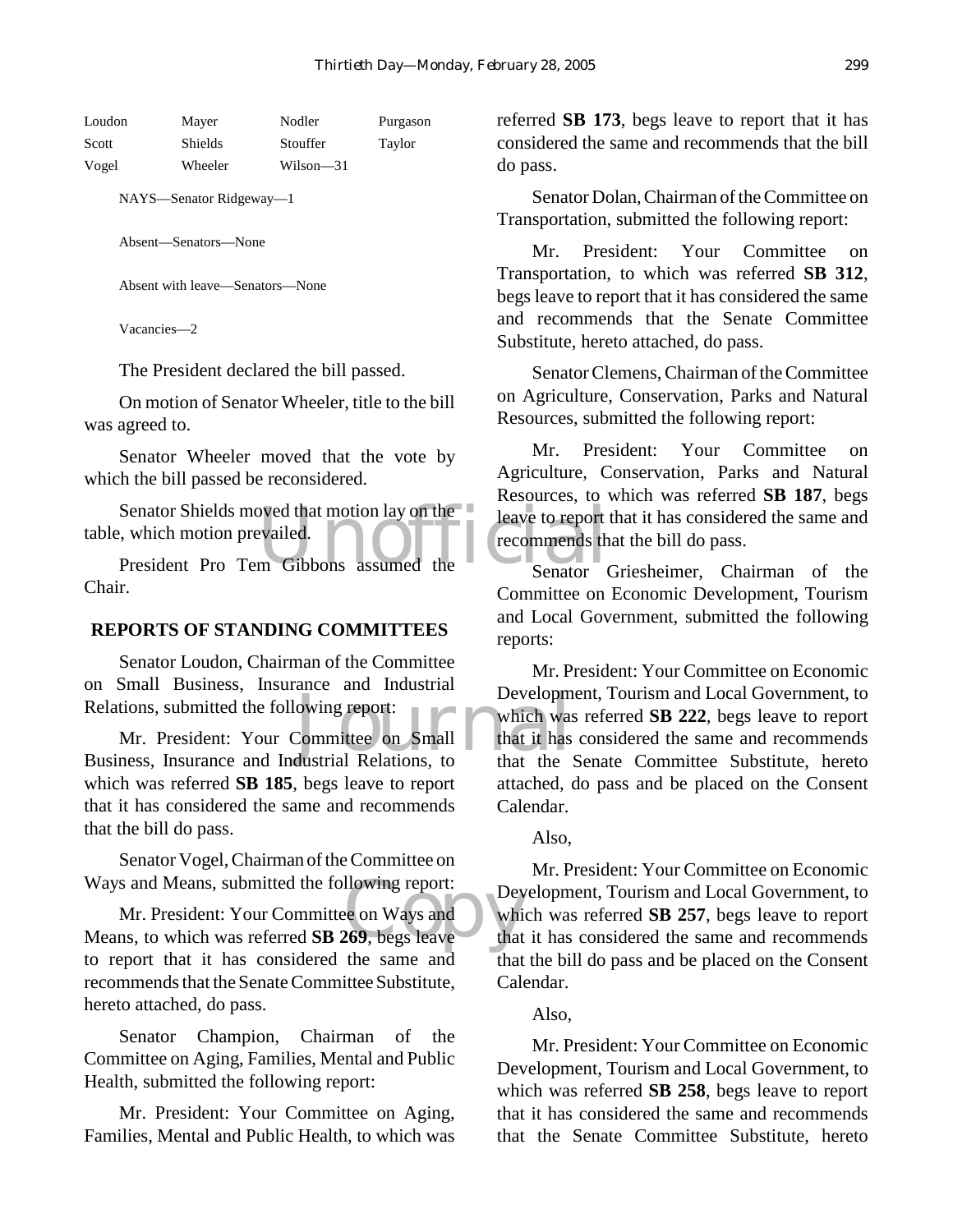| Loudon | Mayer   | Nodler    | Purgason |
|--------|---------|-----------|----------|
| Scott  | Shields | Stouffer  | Taylor   |
| Vogel  | Wheeler | Wilson—31 |          |

NAYS—Senator Ridgeway—1

Absent—Senators—None

Absent with leave—Senators—None

Vacancies—2

The President declared the bill passed.

On motion of Senator Wheeler, title to the bill was agreed to.

Senator Wheeler moved that the vote by which the bill passed be reconsidered.

Senator Shields moved that motion lay on the leave to report<br>
i, which motion prevailed.<br>
President Pro Tem Gibbons assumed the Senator table, which motion prevailed.

President Pro Tem Gibbons assumed the Chair.

#### **REPORTS OF STANDING COMMITTEES**

Senator Loudon, Chairman of the Committee on Small Business, Insurance and Industrial Relations, submitted the following report:

Developm<br>
owing report:<br>
Committee on Small<br>
dustrial Relations, to that the Mr. President: Your Committee on Small Business, Insurance and Industrial Relations, to which was referred **SB 185**, begs leave to report that it has considered the same and recommends that the bill do pass.

Senator Vogel, Chairman of the Committee on Ways and Means, submitted the following report:

Ways and Means, submitted the following report:<br>
Mr. President: Your Committee on Ways and<br>
Means, to which was referred **SB 269**, begs leave that Mr. President: Your Committee on Ways and to report that it has considered the same and recommends that the Senate Committee Substitute, hereto attached, do pass.

Senator Champion, Chairman of the Committee on Aging, Families, Mental and Public Health, submitted the following report:

Mr. President: Your Committee on Aging, Families, Mental and Public Health, to which was referred **SB 173**, begs leave to report that it has considered the same and recommends that the bill do pass.

Senator Dolan, Chairman of the Committee on Transportation, submitted the following report:

Mr. President: Your Committee on Transportation, to which was referred **SB 312**, begs leave to report that it has considered the same and recommends that the Senate Committee Substitute, hereto attached, do pass.

Senator Clemens, Chairman of the Committee on Agriculture, Conservation, Parks and Natural Resources, submitted the following report:

Mr. President: Your Committee on Agriculture, Conservation, Parks and Natural Resources, to which was referred **SB 187**, begs leave to report that it has considered the same and recommends that the bill do pass.

Senator Griesheimer, Chairman of the Committee on Economic Development, Tourism and Local Government, submitted the following reports:

Mr. President: Your Committee on Economic Development, Tourism and Local Government, to which was referred **SB 222**, begs leave to report that it has considered the same and recommends that the Senate Committee Substitute, hereto attached, do pass and be placed on the Consent Calendar.

#### Also,

Mr. President: Your Committee on Economic Development, Tourism and Local Government, to which was referred **SB 257**, begs leave to report that it has considered the same and recommends that the bill do pass and be placed on the Consent Calendar.

#### Also,

Mr. President: Your Committee on Economic Development, Tourism and Local Government, to which was referred **SB 258**, begs leave to report that it has considered the same and recommends that the Senate Committee Substitute, hereto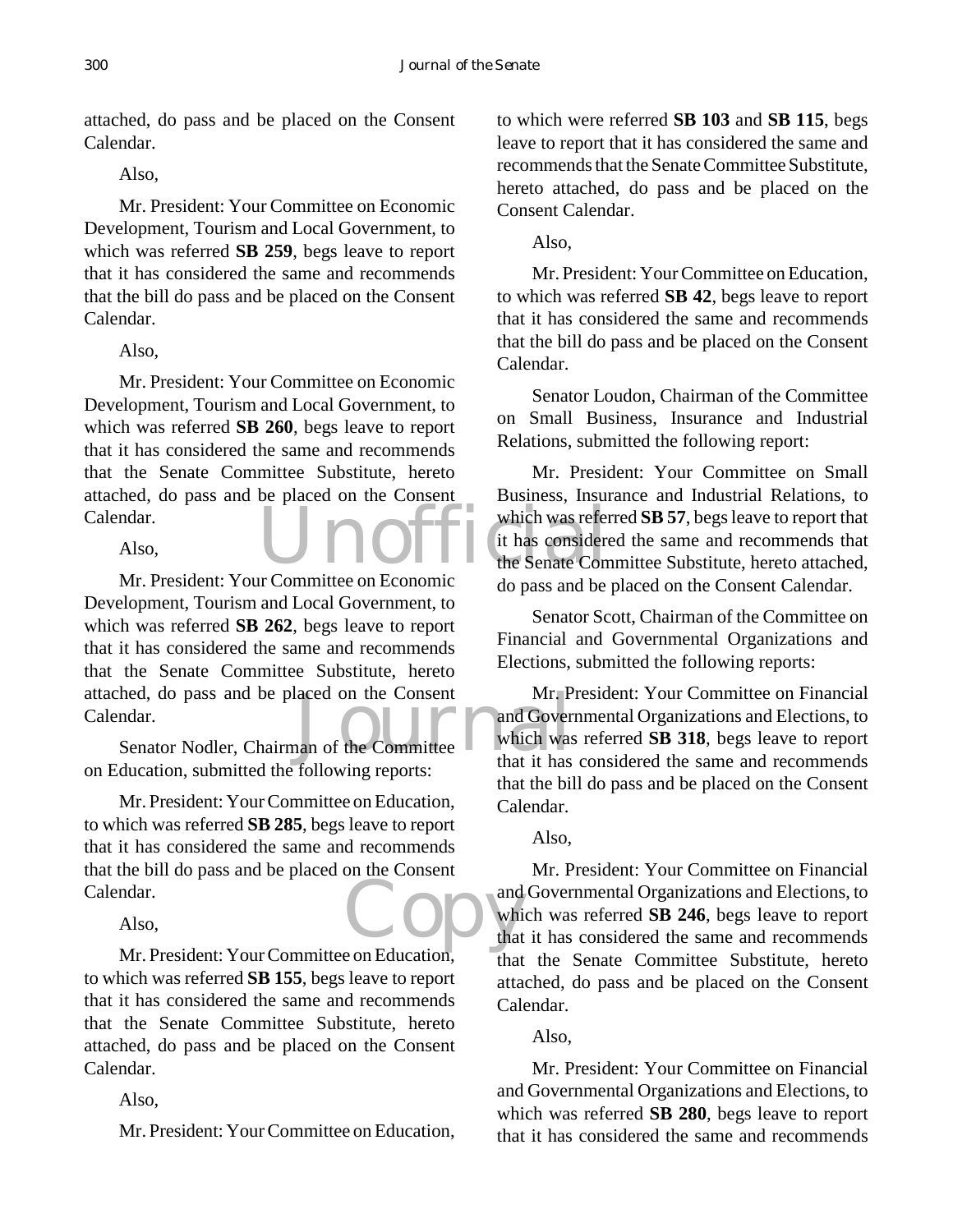attached, do pass and be placed on the Consent Calendar.

Also,

Mr. President: Your Committee on Economic Development, Tourism and Local Government, to which was referred **SB 259**, begs leave to report that it has considered the same and recommends that the bill do pass and be placed on the Consent Calendar.

#### Also,

Mr. President: Your Committee on Economic Development, Tourism and Local Government, to which was referred **SB 260**, begs leave to report that it has considered the same and recommends that the Senate Committee Substitute, hereto attached, do pass and be placed on the Consent Calendar.

#### Also,

hed, do pass and be placed on the Consent Mr. P<br>
ndar.<br>
Senator Nodler, Chairman of the Committee that it has Mr. President: Your Committee on Economic Development, Tourism and Local Government, to which was referred **SB 262**, begs leave to report that it has considered the same and recommends that the Senate Committee Substitute, hereto attached, do pass and be placed on the Consent Calendar.

on Education, submitted the following reports:

Copy and Mr. President: Your Committee on Education, to which was referred **SB 285**, begs leave to report that it has considered the same and recommends that the bill do pass and be placed on the Consent Calendar.

## Also,

Mr. President: Your Committee on Education, to which was referred **SB 155**, begs leave to report that it has considered the same and recommends that the Senate Committee Substitute, hereto attached, do pass and be placed on the Consent Calendar.

## Also,

Mr. President: Your Committee on Education,

to which were referred **SB 103** and **SB 115**, begs leave to report that it has considered the same and recommends that the Senate Committee Substitute, hereto attached, do pass and be placed on the Consent Calendar.

## Also,

Mr. President: Your Committee on Education, to which was referred **SB 42**, begs leave to report that it has considered the same and recommends that the bill do pass and be placed on the Consent Calendar.

Senator Loudon, Chairman of the Committee on Small Business, Insurance and Industrial Relations, submitted the following report:

Unofficial which was refer Mr. President: Your Committee on Small Business, Insurance and Industrial Relations, to which was referred **SB 57**, begs leave to report that it has considered the same and recommends that the Senate Committee Substitute, hereto attached, do pass and be placed on the Consent Calendar.

> Senator Scott, Chairman of the Committee on Financial and Governmental Organizations and Elections, submitted the following reports:

> Mr. President: Your Committee on Financial and Governmental Organizations and Elections, to which was referred **SB 318**, begs leave to report that it has considered the same and recommends that the bill do pass and be placed on the Consent Calendar.

## Also,

Mr. President: Your Committee on Financial and Governmental Organizations and Elections, to which was referred **SB 246**, begs leave to report that it has considered the same and recommends that the Senate Committee Substitute, hereto attached, do pass and be placed on the Consent Calendar.

## Also,

Mr. President: Your Committee on Financial and Governmental Organizations and Elections, to which was referred **SB 280**, begs leave to report that it has considered the same and recommends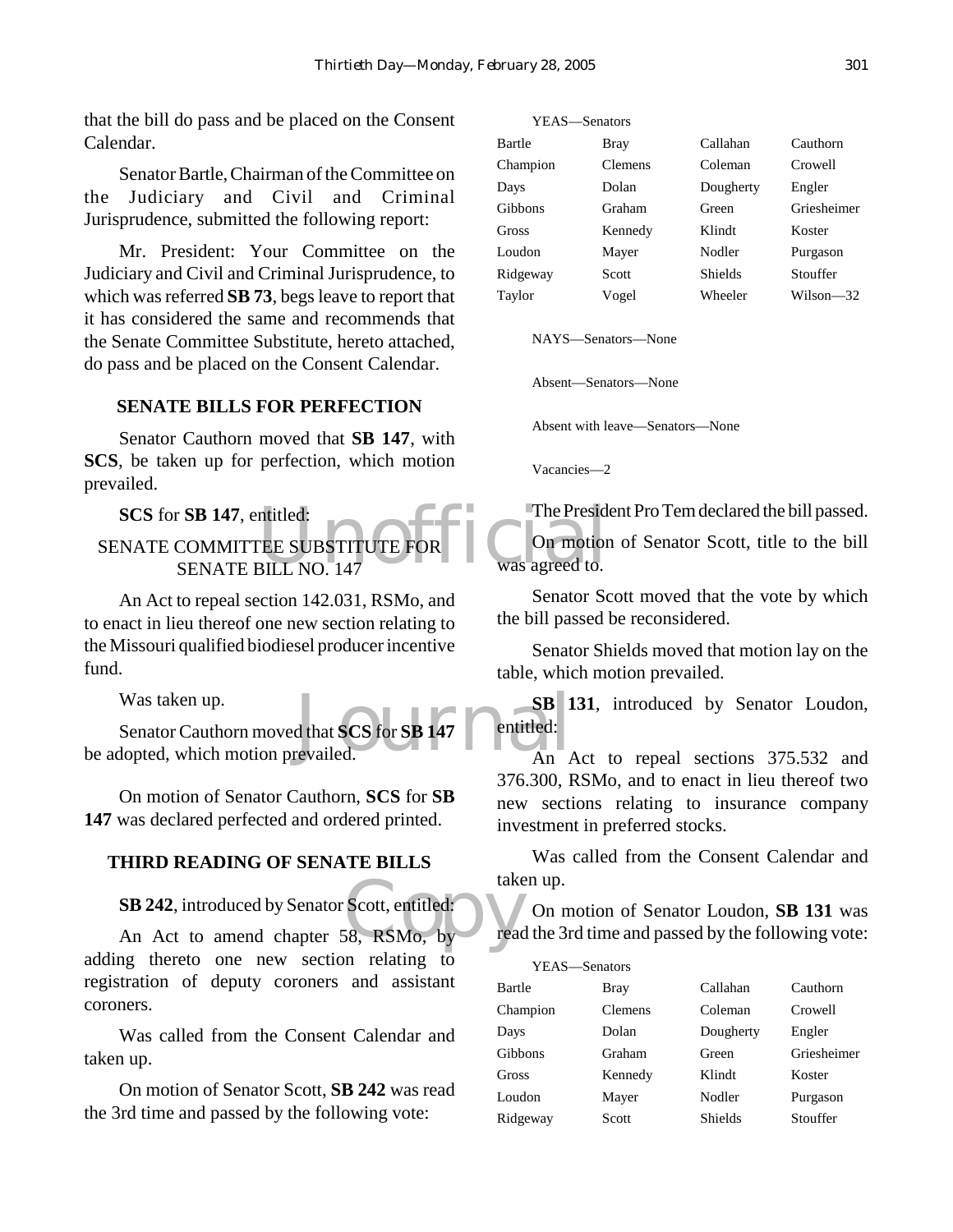that the bill do pass and be placed on the Consent Calendar.

Senator Bartle, Chairman of the Committee on the Judiciary and Civil and Criminal Jurisprudence, submitted the following report:

Mr. President: Your Committee on the Judiciary and Civil and Criminal Jurisprudence, to which was referred **SB 73**, begs leave to report that it has considered the same and recommends that the Senate Committee Substitute, hereto attached, do pass and be placed on the Consent Calendar.

#### **SENATE BILLS FOR PERFECTION**

Senator Cauthorn moved that **SB 147**, with **SCS**, be taken up for perfection, which motion prevailed.

ntitled:<br>The Presidential Commotion<br>BILL NO. 147 Was agreed to. **SCS** for **SB 147**, entitled: SENATE COMMITTEE SUBSTITUTE FOR SENATE BILL NO. 147

An Act to repeal section 142.031, RSMo, and to enact in lieu thereof one new section relating to the Missouri qualified biodiesel producer incentive fund.

Was taken up.

SB d<br>that SCS for SB 147 entitled:<br>revailed.<br>An Senator Cauthorn moved that **SCS** for **SB 147** be adopted, which motion prevailed.

On motion of Senator Cauthorn, **SCS** for **SB 147** was declared perfected and ordered printed.

#### **THIRD READING OF SENATE BILLS**

**SB 242**, introduced by Senator Scott, entitled:

take<br>Socott, entitled:<br>S8, RSMo, by An Act to amend chapter 58, RSMo, by adding thereto one new section relating to registration of deputy coroners and assistant coroners.

Was called from the Consent Calendar and taken up.

On motion of Senator Scott, **SB 242** was read the 3rd time and passed by the following vote:

| YEAS—Senators |         |                |             |
|---------------|---------|----------------|-------------|
| Bartle        | Bray    | Callahan       | Cauthorn    |
| Champion      | Clemens | Coleman        | Crowell     |
| Days          | Dolan   | Dougherty      | Engler      |
| Gibbons       | Graham  | Green          | Griesheimer |
| Gross         | Kennedy | Klindt         | Koster      |
| Loudon        | Mayer   | Nodler         | Purgason    |
| Ridgeway      | Scott   | <b>Shields</b> | Stouffer    |
| Taylor        | Vogel   | Wheeler        | Wilson-32   |

NAYS—Senators—None

Absent—Senators—None

Absent with leave—Senators—None

Vacancies—2

The President Pro Tem declared the bill passed.

On motion of Senator Scott, title to the bill was agreed to.

Senator Scott moved that the vote by which the bill passed be reconsidered.

Senator Shields moved that motion lay on the table, which motion prevailed.

**SB 131**, introduced by Senator Loudon, entitled:

An Act to repeal sections 375.532 and 376.300, RSMo, and to enact in lieu thereof two new sections relating to insurance company investment in preferred stocks.

Was called from the Consent Calendar and taken up.

On motion of Senator Loudon, **SB 131** was read the 3rd time and passed by the following vote:

| YEAS—Senators |                |                |             |
|---------------|----------------|----------------|-------------|
| Bartle        | Bray           | Callahan       | Cauthorn    |
| Champion      | <b>Clemens</b> | Coleman        | Crowell     |
| Days          | Dolan          | Dougherty      | Engler      |
| Gibbons       | Graham         | Green          | Griesheimer |
| Gross         | Kennedy        | Klindt         | Koster      |
| Loudon        | Mayer          | Nodler         | Purgason    |
| Ridgeway      | Scott          | <b>Shields</b> | Stouffer    |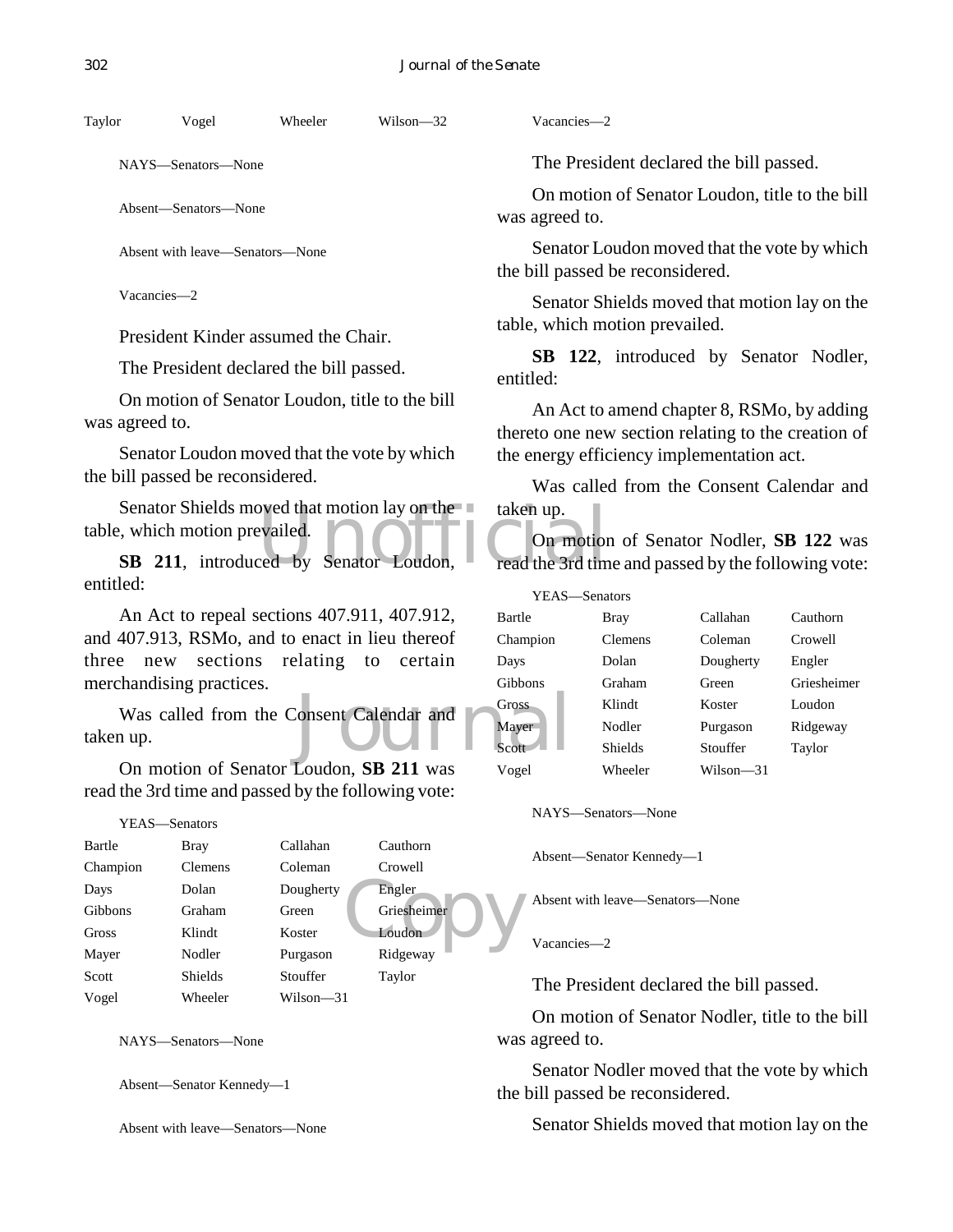NAYS—Senators—None

Absent—Senators—None

Absent with leave—Senators—None

Vacancies—2

President Kinder assumed the Chair.

The President declared the bill passed.

On motion of Senator Loudon, title to the bill was agreed to.

Senator Loudon moved that the vote by which the bill passed be reconsidered.

Senator Shields moved that motion lay on the senator taken up.<br>
SB 211, introduced by Senator Loudon, read the 3rd times Senator Shields moved that motion lay on the table, which motion prevailed.

entitled:

An Act to repeal sections 407.911, 407.912, and 407.913, RSMo, and to enact in lieu thereof three new sections relating to certain merchandising practices.

Calendar and The Cross Was called from the Consent Calendar and taken up.

On motion of Senator Loudon, **SB 211** was read the 3rd time and passed by the following vote:

```
YEAS—Senators
```

| Bartle   | <b>Bray</b>    | Callahan  | Cauthorn    |
|----------|----------------|-----------|-------------|
| Champion | <b>Clemens</b> | Coleman   | Crowell     |
| Days     | Dolan          | Dougherty | Engler      |
| Gibbons  | Graham         | Green     | Griesheimer |
| Gross    | Klindt         | Koster    | Loudon      |
| Mayer    | Nodler         | Purgason  | Ridgeway    |
| Scott    | <b>Shields</b> | Stouffer  | Taylor      |
| Vogel    | Wheeler        | Wilson—31 |             |

NAYS—Senators—None

Absent—Senator Kennedy—1

Absent with leave—Senators—None

Vacancies—2

The President declared the bill passed.

On motion of Senator Loudon, title to the bill was agreed to.

Senator Loudon moved that the vote by which the bill passed be reconsidered.

Senator Shields moved that motion lay on the table, which motion prevailed.

**SB 122**, introduced by Senator Nodler, entitled:

An Act to amend chapter 8, RSMo, by adding thereto one new section relating to the creation of the energy efficiency implementation act.

Was called from the Consent Calendar and taken up.

On motion of Senator Nodler, **SB 122** was read the 3rd time and passed by the following vote:

| YEAS—Senators  |                |           |             |
|----------------|----------------|-----------|-------------|
| Bartle         | Bray           | Callahan  | Cauthorn    |
| Champion       | <b>Clemens</b> | Coleman   | Crowell     |
| Days           | Dolan          | Dougherty | Engler      |
| <b>Gibbons</b> | Graham         | Green     | Griesheimer |
| Gross          | Klindt         | Koster    | Loudon      |
| Mayer          | Nodler         | Purgason  | Ridgeway    |
| Scott          | <b>Shields</b> | Stouffer  | Taylor      |
| Vogel          | Wheeler        | Wilson—31 |             |

NAYS—Senators—None

Absent—Senator Kennedy—1

Absent with leave—Senators—None

Vacancies—2

The President declared the bill passed.

On motion of Senator Nodler, title to the bill was agreed to.

Senator Nodler moved that the vote by which the bill passed be reconsidered.

Senator Shields moved that motion lay on the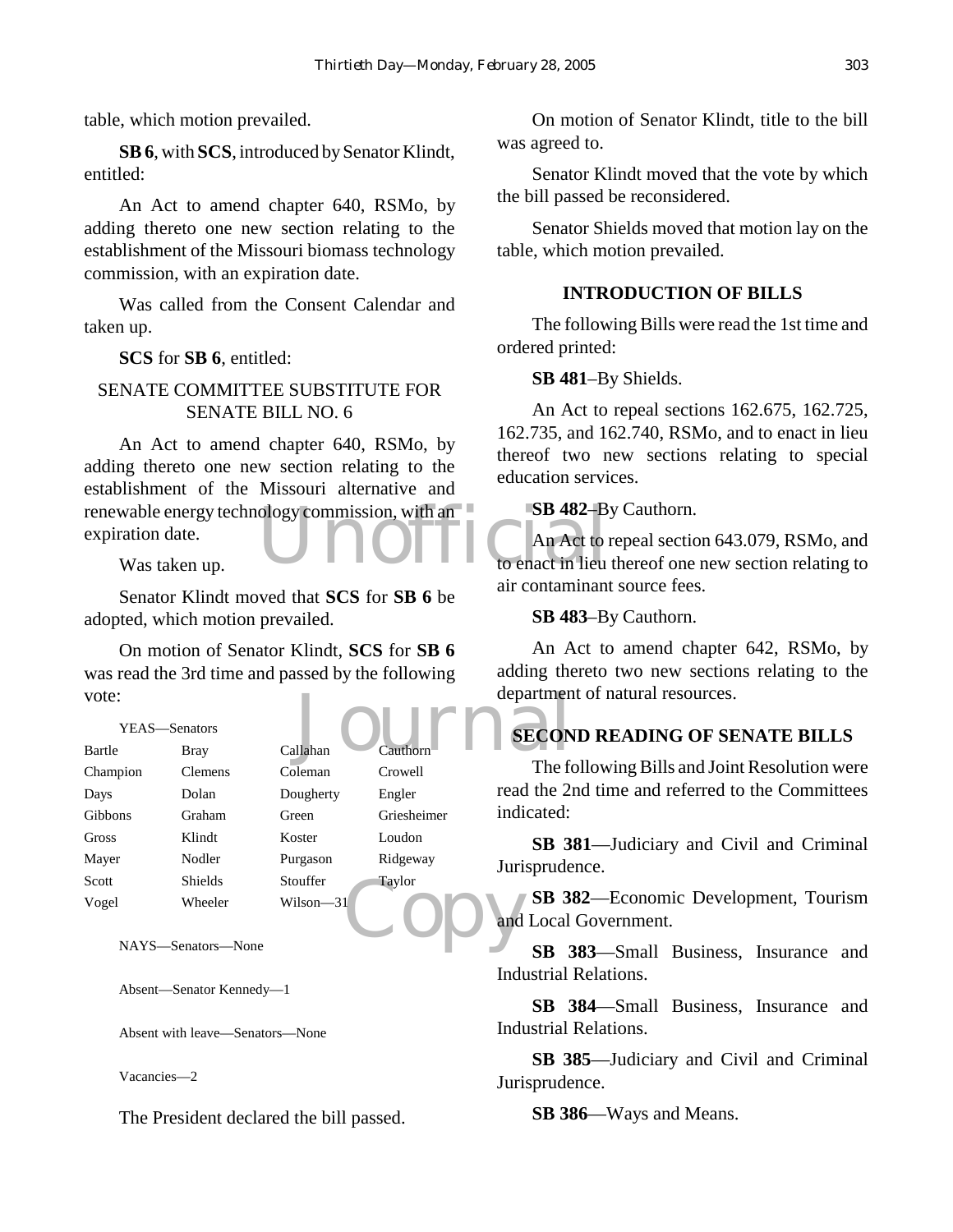table, which motion prevailed.

**SB 6**, with **SCS**, introduced by Senator Klindt, entitled:

An Act to amend chapter 640, RSMo, by adding thereto one new section relating to the establishment of the Missouri biomass technology commission, with an expiration date.

Was called from the Consent Calendar and taken up.

**SCS** for **SB 6**, entitled:

#### SENATE COMMITTEE SUBSTITUTE FOR SENATE BILL NO. 6

renewable energy technology commission, with an and SB 482-B<br>expiration date.<br>Was taken up. An Act to amend chapter 640, RSMo, by adding thereto one new section relating to the establishment of the Missouri alternative and expiration date.

Was taken up.

Senator Klindt moved that **SCS** for **SB 6** be adopted, which motion prevailed.

On motion of Senator Klindt, **SCS** for **SB 6** was read the 3rd time and passed by the following vote:

| vote:    |                    |           |             | departmen                             |
|----------|--------------------|-----------|-------------|---------------------------------------|
|          | YEAS-Senators      |           |             | <b>SECON</b>                          |
| Bartle   | Bray               | Callahan  | Cauthorn    |                                       |
| Champion | Clemens            | Coleman   | Crowell     | The fo                                |
| Days     | Dolan              | Dougherty | Engler      | read the 2                            |
| Gibbons  | Graham             | Green     | Griesheimer | indicated:                            |
| Gross    | Klindt             | Koster    | Loudon      | SB <sub>3</sub>                       |
| Mayer    | Nodler             | Purgason  | Ridgeway    | Jurisprude                            |
| Scott    | <b>Shields</b>     | Stouffer  | Taylor      |                                       |
| Vogel    | Wheeler            | Wilson—31 |             | SB <sub>3</sub>                       |
|          |                    |           |             | and Local                             |
|          | NAYS—Senators—None |           |             | $\overline{\phantom{a}}$<br><b>CR</b> |

Absent—Senator Kennedy—1

Absent with leave—Senators—None

Vacancies—2

The President declared the bill passed.

On motion of Senator Klindt, title to the bill was agreed to.

Senator Klindt moved that the vote by which the bill passed be reconsidered.

Senator Shields moved that motion lay on the table, which motion prevailed.

#### **INTRODUCTION OF BILLS**

The following Bills were read the 1st time and ordered printed:

#### **SB 481**–By Shields.

An Act to repeal sections 162.675, 162.725, 162.735, and 162.740, RSMo, and to enact in lieu thereof two new sections relating to special education services.

#### **SB 482**–By Cauthorn.

An Act to repeal section 643.079, RSMo, and to enact in lieu thereof one new section relating to air contaminant source fees.

#### **SB 483**–By Cauthorn.

An Act to amend chapter 642, RSMo, by adding thereto two new sections relating to the department of natural resources.

# **SECOND READING OF SENATE BILLS**

The following Bills and Joint Resolution were read the 2nd time and referred to the Committees indicated:

**SB 381**—Judiciary and Civil and Criminal Jurisprudence.

**SB 382**—Economic Development, Tourism and Local Government.

**SB 383**—Small Business, Insurance and Industrial Relations.

**SB 384**—Small Business, Insurance and Industrial Relations.

**SB 385**—Judiciary and Civil and Criminal Jurisprudence.

**SB 386**—Ways and Means.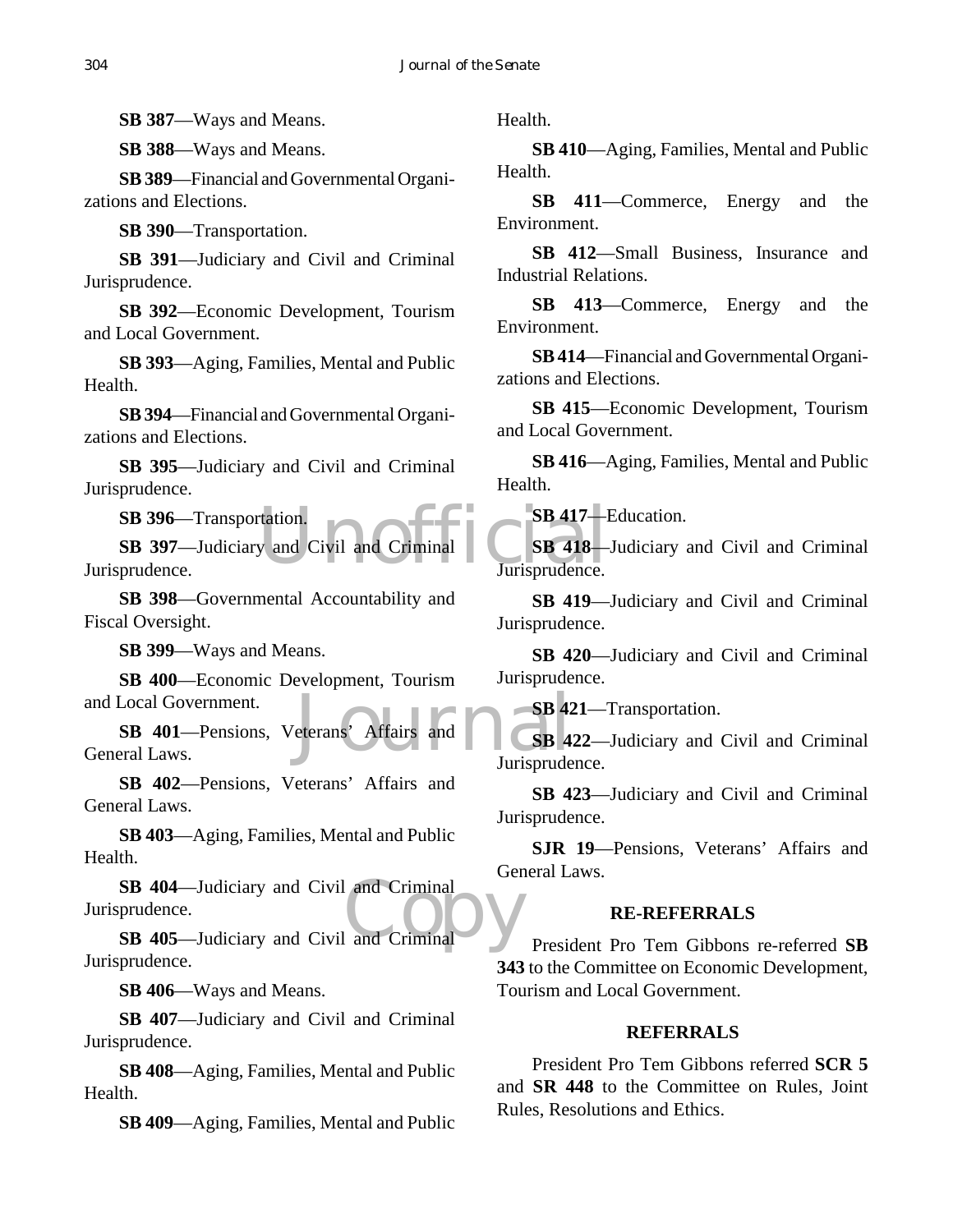**SB 387**—Ways and Means.

**SB 388**—Ways and Means.

**SB 389**—Financial and Governmental Organizations and Elections.

**SB 390**—Transportation.

**SB 391**—Judiciary and Civil and Criminal Jurisprudence.

**SB 392**—Economic Development, Tourism and Local Government.

**SB 393**—Aging, Families, Mental and Public Health.

**SB 394**—Financial and Governmental Organizations and Elections.

**SB 395**—Judiciary and Civil and Criminal Jurisprudence.

**SB 396**—Transportation.

tation.<br>
y and Civil and Criminal<br>
Unisprudence. **SB 397**—Judiciary and Civil and Criminal Jurisprudence.

**SB 398**—Governmental Accountability and Fiscal Oversight.

**SB 399**—Ways and Means.

**SB 400**—Economic Development, Tourism and Local Government.

SB 42 **SB 401**—Pensions, Veterans' Affairs and General Laws.

**SB 402**—Pensions, Veterans' Affairs and General Laws.

**SB 403**—Aging, Families, Mental and Public Health.

SB 404—Judiciary and Civil and Criminal<br>prudence.<br>SB 405—Judiciary and Civil and Criminal **SB 404**—Judiciary and Civil and Criminal Jurisprudence.

Jurisprudence.

**SB 406**—Ways and Means.

**SB 407**—Judiciary and Civil and Criminal Jurisprudence.

**SB 408**—Aging, Families, Mental and Public Health.

**SB 409**—Aging, Families, Mental and Public

Health.

**SB 410**—Aging, Families, Mental and Public Health.

**SB 411**—Commerce, Energy and the Environment.

**SB 412**—Small Business, Insurance and Industrial Relations.

**SB 413**—Commerce, Energy and the Environment.

**SB 414**—Financial and Governmental Organizations and Elections.

**SB 415**—Economic Development, Tourism and Local Government.

**SB 416**—Aging, Families, Mental and Public Health.

**SB 417**—Education.

**SB 418**—Judiciary and Civil and Criminal Jurisprudence.

**SB 419**—Judiciary and Civil and Criminal Jurisprudence.

**SB 420**—Judiciary and Civil and Criminal Jurisprudence.

**SB 421**—Transportation.

**SB 422**—Judiciary and Civil and Criminal Jurisprudence.

**SB 423**—Judiciary and Civil and Criminal Jurisprudence.

**SJR 19**—Pensions, Veterans' Affairs and General Laws.

#### **RE-REFERRALS**

President Pro Tem Gibbons re-referred **SB 343** to the Committee on Economic Development, Tourism and Local Government.

#### **REFERRALS**

President Pro Tem Gibbons referred **SCR 5** and **SR 448** to the Committee on Rules, Joint Rules, Resolutions and Ethics.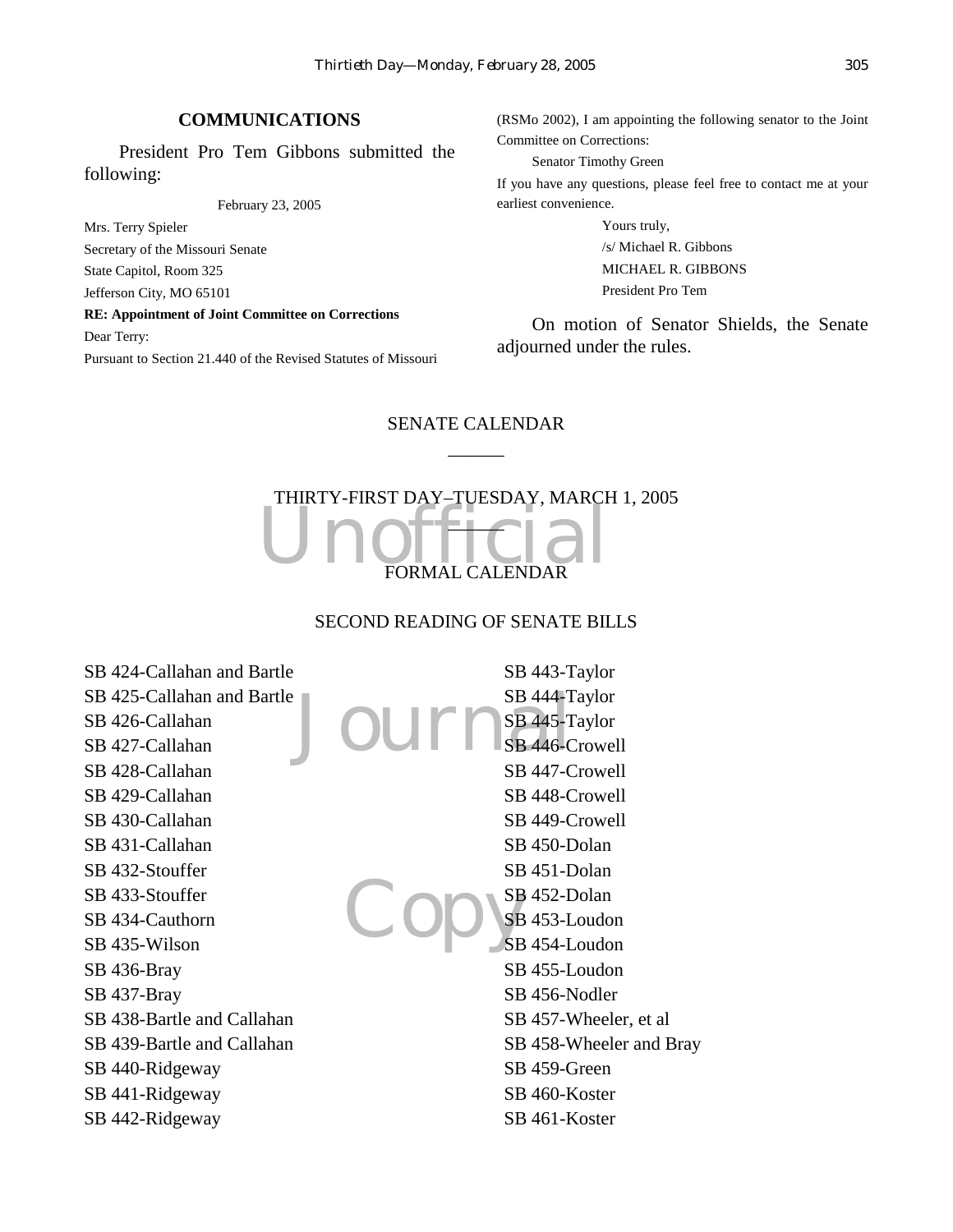#### **COMMUNICATIONS**

President Pro Tem Gibbons submitted the following:

February 23, 2005

Mrs. Terry Spieler Secretary of the Missouri Senate State Capitol, Room 325 Jefferson City, MO 65101

**RE: Appointment of Joint Committee on Corrections** Dear Terry:

Pursuant to Section 21.440 of the Revised Statutes of Missouri

(RSMo 2002), I am appointing the following senator to the Joint Committee on Corrections:

Senator Timothy Green If you have any questions, please feel free to contact me at your earliest convenience.

> Yours truly, /s/ Michael R. Gibbons MICHAEL R. GIBBONS President Pro Tem

On motion of Senator Shields, the Senate adjourned under the rules.

## SENATE CALENDAR  $\overline{\phantom{a}}$

# Unofficial THIRTY-FIRST DAY–TUESDAY, MARCH 1, 2005  $\Box$ FORMAL CALENDAR

#### SECOND READING OF SENATE BILLS

Journ<sup>SB 444-1</sup> Copys SB 424-Callahan and Bartle SB 425-Callahan and Bartle SB 426-Callahan SB 427-Callahan SB 428-Callahan SB 429-Callahan SB 430-Callahan SB 431-Callahan SB 432-Stouffer SB 433-Stouffer SB 434-Cauthorn SB 435-Wilson SB 436-Bray SB 437-Bray SB 438-Bartle and Callahan SB 439-Bartle and Callahan SB 440-Ridgeway SB 441-Ridgeway SB 442-Ridgeway SB 443-Taylor SB 444-Taylor SB 445-Taylor SB 446-Crowell SB 447-Crowell SB 448-Crowell SB 449-Crowell SB 450-Dolan SB 451-Dolan SB 452-Dolan SB 453-Loudon SB 454-Loudon SB 455-Loudon SB 456-Nodler SB 457-Wheeler, et al SB 458-Wheeler and Bray SB 459-Green SB 460-Koster SB 461-Koster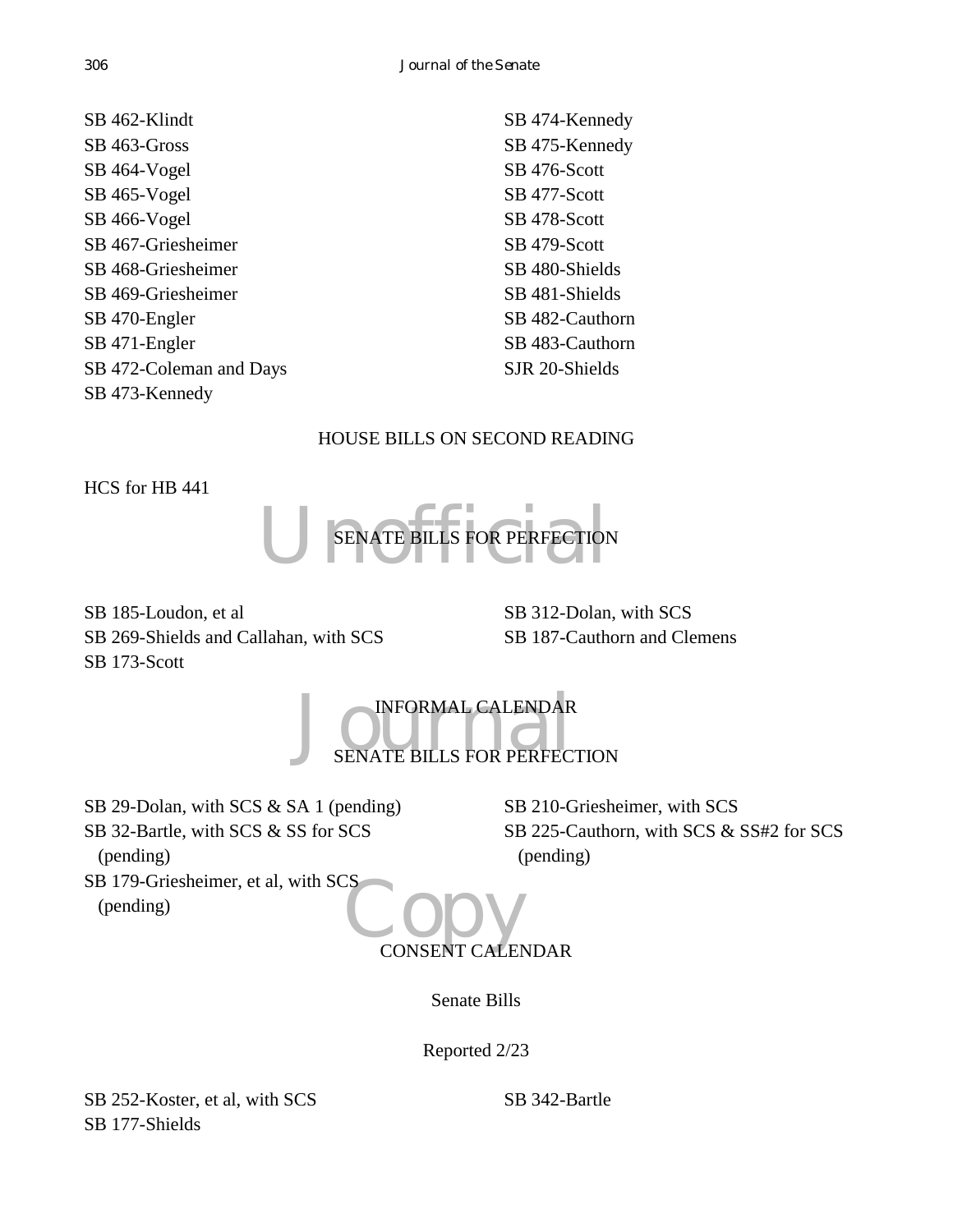| SB 462-Klindt           | SB 474-Kennedy  |
|-------------------------|-----------------|
| SB 463-Gross            | SB 475-Kennedy  |
| SB 464-Vogel            | SB 476-Scott    |
| SB 465-Vogel            | SB 477-Scott    |
| SB 466-Vogel            | SB 478-Scott    |
| SB 467-Griesheimer      | SB 479-Scott    |
| SB 468-Griesheimer      | SB 480-Shields  |
| SB 469-Griesheimer      | SB 481-Shields  |
| SB 470-Engler           | SB 482-Cauthorn |
| SB 471-Engler           | SB 483-Cauthorn |
| SB 472-Coleman and Days | SJR 20-Shields  |
| SB 473-Kennedy          |                 |

#### HOUSE BILLS ON SECOND READING

HCS for HB 441

(pending)



SB 185-Loudon, et al SB 269-Shields and Callahan, with SCS SB 173-Scott

SB 312-Dolan, with SCS SB 187-Cauthorn and Clemens

JOURNAL CALENDAR INFORMAL CALENDAR

SB 29-Dolan, with SCS & SA 1 (pending) SB 32-Bartle, with SCS & SS for SCS (pending) SB 179-Griesheimer, et al, with SCS

SB 210-Griesheimer, with SCS SB 225-Cauthorn, with SCS & SS#2 for SCS (pending)

SO CONSENT CALENDAR

Senate Bills

Reported 2/23

SB 252-Koster, et al, with SCS SB 177-Shields

SB 342-Bartle